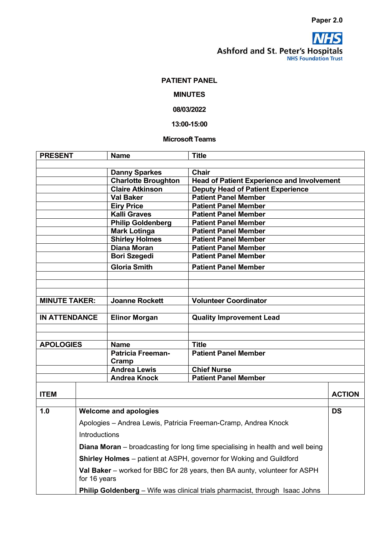**Ashford and St. Peter's Hospitals** 

# PATIENT PANEL

## MINUTES

#### 08/03/2022

13:00-15:00

### Microsoft Teams

| <b>PRESENT</b>       |               | <b>Name</b>                       | <b>Title</b>                                                                   |               |
|----------------------|---------------|-----------------------------------|--------------------------------------------------------------------------------|---------------|
|                      |               | <b>Danny Sparkes</b>              | <b>Chair</b>                                                                   |               |
|                      |               | <b>Charlotte Broughton</b>        | <b>Head of Patient Experience and Involvement</b>                              |               |
|                      |               | <b>Claire Atkinson</b>            | <b>Deputy Head of Patient Experience</b>                                       |               |
|                      |               | <b>Val Baker</b>                  | <b>Patient Panel Member</b>                                                    |               |
|                      |               | <b>Eiry Price</b>                 | <b>Patient Panel Member</b>                                                    |               |
|                      |               | <b>Kalli Graves</b>               | <b>Patient Panel Member</b>                                                    |               |
|                      |               | <b>Philip Goldenberg</b>          | <b>Patient Panel Member</b>                                                    |               |
|                      |               | <b>Mark Lotinga</b>               | <b>Patient Panel Member</b>                                                    |               |
|                      |               | <b>Shirley Holmes</b>             | <b>Patient Panel Member</b>                                                    |               |
|                      |               | <b>Diana Moran</b>                | <b>Patient Panel Member</b>                                                    |               |
|                      |               | <b>Bori Szegedi</b>               | <b>Patient Panel Member</b>                                                    |               |
|                      |               | <b>Gloria Smith</b>               | <b>Patient Panel Member</b>                                                    |               |
|                      |               |                                   |                                                                                |               |
| <b>MINUTE TAKER:</b> |               | <b>Joanne Rockett</b>             | <b>Volunteer Coordinator</b>                                                   |               |
| <b>IN ATTENDANCE</b> |               | <b>Elinor Morgan</b>              | <b>Quality Improvement Lead</b>                                                |               |
|                      |               |                                   |                                                                                |               |
| <b>APOLOGIES</b>     |               | <b>Name</b>                       | <b>Title</b>                                                                   |               |
|                      |               | <b>Patricia Freeman-</b><br>Cramp | <b>Patient Panel Member</b>                                                    |               |
|                      |               | <b>Andrea Lewis</b>               | <b>Chief Nurse</b>                                                             |               |
|                      |               | <b>Andrea Knock</b>               | <b>Patient Panel Member</b>                                                    |               |
| <b>ITEM</b>          |               |                                   |                                                                                | <b>ACTION</b> |
|                      |               |                                   |                                                                                |               |
| 1.0                  |               | <b>Welcome and apologies</b>      |                                                                                | <b>DS</b>     |
|                      |               |                                   | Apologies - Andrea Lewis, Patricia Freeman-Cramp, Andrea Knock                 |               |
|                      | Introductions |                                   |                                                                                |               |
|                      |               |                                   | Diana Moran – broadcasting for long time specialising in health and well being |               |
|                      |               |                                   | Shirley Holmes - patient at ASPH, governor for Woking and Guildford            |               |
|                      | for 16 years  |                                   | Val Baker - worked for BBC for 28 years, then BA aunty, volunteer for ASPH     |               |
|                      |               |                                   | Philip Goldenberg - Wife was clinical trials pharmacist, through Isaac Johns   |               |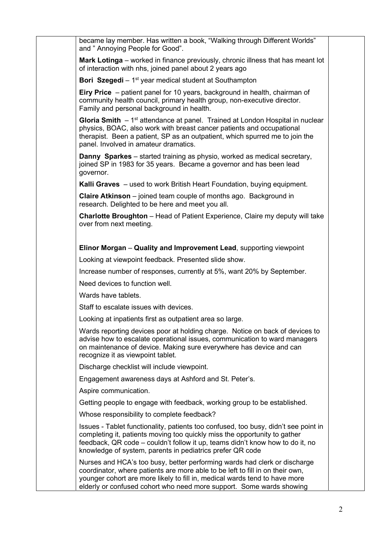| became lay member. Has written a book, "Walking through Different Worlds"<br>and " Annoying People for Good".                                                                                                                                                                                                    |  |
|------------------------------------------------------------------------------------------------------------------------------------------------------------------------------------------------------------------------------------------------------------------------------------------------------------------|--|
| <b>Mark Lotinga</b> – worked in finance previously, chronic illness that has meant lot<br>of interaction with nhs, joined panel about 2 years ago                                                                                                                                                                |  |
| <b>Bori Szegedi</b> – $1st$ year medical student at Southampton                                                                                                                                                                                                                                                  |  |
| <b>Eiry Price</b> – patient panel for 10 years, background in health, chairman of<br>community health council, primary health group, non-executive director.<br>Family and personal background in health.                                                                                                        |  |
| <b>Gloria Smith</b> $-1^{st}$ attendance at panel. Trained at London Hospital in nuclear<br>physics, BOAC, also work with breast cancer patients and occupational<br>therapist. Been a patient, SP as an outpatient, which spurred me to join the<br>panel. Involved in amateur dramatics.                       |  |
| <b>Danny Sparkes</b> – started training as physio, worked as medical secretary,<br>joined SP in 1983 for 35 years. Became a governor and has been lead<br>governor.                                                                                                                                              |  |
| Kalli Graves - used to work British Heart Foundation, buying equipment.                                                                                                                                                                                                                                          |  |
| <b>Claire Atkinson</b> – joined team couple of months ago. Background in<br>research. Delighted to be here and meet you all.                                                                                                                                                                                     |  |
| <b>Charlotte Broughton</b> - Head of Patient Experience, Claire my deputy will take<br>over from next meeting.                                                                                                                                                                                                   |  |
| Elinor Morgan - Quality and Improvement Lead, supporting viewpoint                                                                                                                                                                                                                                               |  |
| Looking at viewpoint feedback. Presented slide show.                                                                                                                                                                                                                                                             |  |
| Increase number of responses, currently at 5%, want 20% by September.                                                                                                                                                                                                                                            |  |
| Need devices to function well.                                                                                                                                                                                                                                                                                   |  |
| Wards have tablets.                                                                                                                                                                                                                                                                                              |  |
| Staff to escalate issues with devices.                                                                                                                                                                                                                                                                           |  |
| Looking at inpatients first as outpatient area so large.                                                                                                                                                                                                                                                         |  |
| Wards reporting devices poor at holding charge. Notice on back of devices to<br>advise how to escalate operational issues, communication to ward managers<br>on maintenance of device. Making sure everywhere has device and can<br>recognize it as viewpoint tablet.                                            |  |
| Discharge checklist will include viewpoint.                                                                                                                                                                                                                                                                      |  |
| Engagement awareness days at Ashford and St. Peter's.                                                                                                                                                                                                                                                            |  |
| Aspire communication.                                                                                                                                                                                                                                                                                            |  |
| Getting people to engage with feedback, working group to be established.                                                                                                                                                                                                                                         |  |
| Whose responsibility to complete feedback?                                                                                                                                                                                                                                                                       |  |
| Issues - Tablet functionality, patients too confused, too busy, didn't see point in<br>completing it, patients moving too quickly miss the opportunity to gather<br>feedback, QR code – couldn't follow it up, teams didn't know how to do it, no<br>knowledge of system, parents in pediatrics prefer QR code   |  |
| Nurses and HCA's too busy, better performing wards had clerk or discharge<br>coordinator, where patients are more able to be left to fill in on their own,<br>younger cohort are more likely to fill in, medical wards tend to have more<br>elderly or confused cohort who need more support. Some wards showing |  |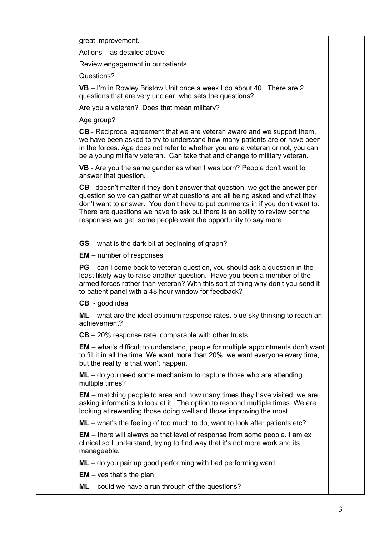great improvement.

Actions – as detailed above

Review engagement in outpatients

Questions?

VB – I'm in Rowley Bristow Unit once a week I do about 40. There are 2 questions that are very unclear, who sets the questions?

Are you a veteran? Does that mean military?

Age group?

CB - Reciprocal agreement that we are veteran aware and we support them, we have been asked to try to understand how many patients are or have been in the forces. Age does not refer to whether you are a veteran or not, you can be a young military veteran. Can take that and change to military veteran.

VB - Are you the same gender as when I was born? People don't want to answer that question.

CB - doesn't matter if they don't answer that question, we get the answer per question so we can gather what questions are all being asked and what they don't want to answer. You don't have to put comments in if you don't want to. There are questions we have to ask but there is an ability to review per the responses we get, some people want the opportunity to say more.

GS – what is the dark bit at beginning of graph?

EM – number of responses

**PG** – can I come back to veteran question, you should ask a question in the least likely way to raise another question. Have you been a member of the armed forces rather than veteran? With this sort of thing why don't you send it to patient panel with a 48 hour window for feedback?

CB - good idea

ML – what are the ideal optimum response rates, blue sky thinking to reach an achievement?

CB – 20% response rate, comparable with other trusts.

EM – what's difficult to understand, people for multiple appointments don't want to fill it in all the time. We want more than 20%, we want everyone every time, but the reality is that won't happen.

ML – do you need some mechanism to capture those who are attending multiple times?

EM – matching people to area and how many times they have visited, we are asking informatics to look at it. The option to respond multiple times. We are looking at rewarding those doing well and those improving the most.

ML – what's the feeling of too much to do, want to look after patients etc?

EM – there will always be that level of response from some people. I am ex clinical so I understand, trying to find way that it's not more work and its manageable.

ML – do you pair up good performing with bad performing ward

 $EM - yes$  that's the plan

ML - could we have a run through of the questions?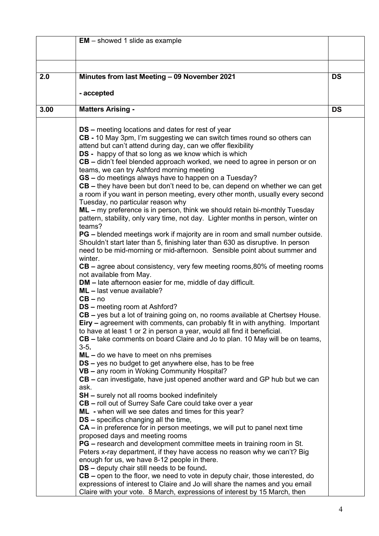|      | $EM$ – showed 1 slide as example                                                                                                        |           |
|------|-----------------------------------------------------------------------------------------------------------------------------------------|-----------|
|      |                                                                                                                                         |           |
|      |                                                                                                                                         |           |
|      |                                                                                                                                         |           |
| 2.0  | Minutes from last Meeting - 09 November 2021                                                                                            | <b>DS</b> |
|      |                                                                                                                                         |           |
|      | - accepted                                                                                                                              |           |
| 3.00 | <b>Matters Arising -</b>                                                                                                                | <b>DS</b> |
|      |                                                                                                                                         |           |
|      |                                                                                                                                         |           |
|      | <b>DS</b> – meeting locations and dates for rest of year                                                                                |           |
|      | CB - 10 May 3pm, I'm suggesting we can switch times round so others can<br>attend but can't attend during day, can we offer flexibility |           |
|      | <b>DS</b> - happy of that so long as we know which is which                                                                             |           |
|      | CB - didn't feel blended approach worked, we need to agree in person or on                                                              |           |
|      | teams, we can try Ashford morning meeting                                                                                               |           |
|      | GS - do meetings always have to happen on a Tuesday?                                                                                    |           |
|      | $CB -$ they have been but don't need to be, can depend on whether we can get                                                            |           |
|      | a room if you want in person meeting, every other month, usually every second                                                           |           |
|      | Tuesday, no particular reason why                                                                                                       |           |
|      | ML - my preference is in person, think we should retain bi-monthly Tuesday                                                              |           |
|      | pattern, stability, only vary time, not day. Lighter months in person, winter on                                                        |           |
|      | teams?<br><b>PG</b> – blended meetings work if majority are in room and small number outside.                                           |           |
|      | Shouldn't start later than 5, finishing later than 630 as disruptive. In person                                                         |           |
|      | need to be mid-morning or mid-afternoon. Sensible point about summer and                                                                |           |
|      | winter.                                                                                                                                 |           |
|      | <b>CB</b> – agree about consistency, very few meeting rooms, 80% of meeting rooms                                                       |           |
|      | not available from May.                                                                                                                 |           |
|      | <b>DM</b> - late afternoon easier for me, middle of day difficult.                                                                      |           |
|      | ML - last venue available?                                                                                                              |           |
|      | $CB - no$                                                                                                                               |           |
|      | <b>DS</b> – meeting room at Ashford?<br><b>CB</b> – yes but a lot of training going on, no rooms available at Chertsey House.           |           |
|      | <b>Eiry</b> – agreement with comments, can probably fit in with anything. Important                                                     |           |
|      | to have at least 1 or 2 in person a year, would all find it beneficial.                                                                 |           |
|      | <b>CB</b> – take comments on board Claire and Jo to plan. 10 May will be on teams,                                                      |           |
|      | $3-5.$                                                                                                                                  |           |
|      | $ML - do$ we have to meet on nhs premises                                                                                               |           |
|      | <b>DS</b> – yes no budget to get anywhere else, has to be free                                                                          |           |
|      | VB - any room in Woking Community Hospital?                                                                                             |           |
|      | <b>CB</b> – can investigate, have just opened another ward and GP hub but we can<br>ask.                                                |           |
|      | <b>SH</b> – surely not all rooms booked indefinitely                                                                                    |           |
|      | CB - roll out of Surrey Safe Care could take over a year                                                                                |           |
|      | ML - when will we see dates and times for this year?                                                                                    |           |
|      | <b>DS</b> – specifics changing all the time,                                                                                            |           |
|      | $CA -$ in preference for in person meetings, we will put to panel next time                                                             |           |
|      | proposed days and meeting rooms                                                                                                         |           |
|      | <b>PG</b> – research and development committee meets in training room in St.                                                            |           |
|      | Peters x-ray department, if they have access no reason why we can't? Big                                                                |           |
|      | enough for us, we have 8-12 people in there.                                                                                            |           |
|      | <b>DS</b> – deputy chair still needs to be found.<br>$CB$ – open to the floor, we need to vote in deputy chair, those interested, do    |           |
|      | expressions of interest to Claire and Jo will share the names and you email                                                             |           |
|      | Claire with your vote. 8 March, expressions of interest by 15 March, then                                                               |           |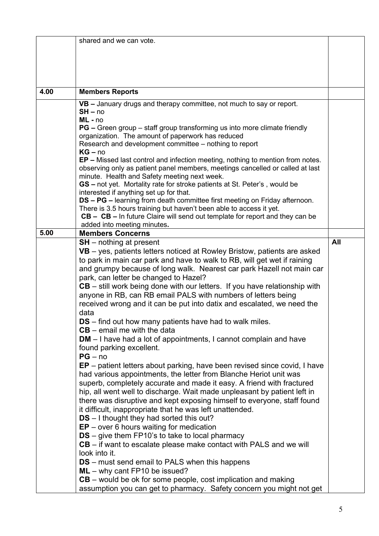|      | shared and we can vote.                                                         |     |
|------|---------------------------------------------------------------------------------|-----|
|      |                                                                                 |     |
|      |                                                                                 |     |
|      |                                                                                 |     |
|      |                                                                                 |     |
|      |                                                                                 |     |
| 4.00 | <b>Members Reports</b>                                                          |     |
|      | VB - January drugs and therapy committee, not much to say or report.            |     |
|      | $SH - no$                                                                       |     |
|      | $ML - no$                                                                       |     |
|      | $PG$ – Green group – staff group transforming us into more climate friendly     |     |
|      | organization. The amount of paperwork has reduced                               |     |
|      | Research and development committee – nothing to report<br>$KG - no$             |     |
|      | EP - Missed last control and infection meeting, nothing to mention from notes.  |     |
|      | observing only as patient panel members, meetings cancelled or called at last   |     |
|      | minute. Health and Safety meeting next week.                                    |     |
|      | GS – not yet. Mortality rate for stroke patients at St. Peter's, would be       |     |
|      | interested if anything set up for that.                                         |     |
|      | DS - PG - learning from death committee first meeting on Friday afternoon.      |     |
|      | There is 3.5 hours training but haven't been able to access it yet.             |     |
|      | $CB - CB - In$ future Claire will send out template for report and they can be  |     |
| 5.00 | added into meeting minutes.<br><b>Members Concerns</b>                          |     |
|      | $SH$ – nothing at present                                                       | All |
|      | <b>VB</b> – yes, patients letters noticed at Rowley Bristow, patients are asked |     |
|      | to park in main car park and have to walk to RB, will get wet if raining        |     |
|      | and grumpy because of long walk. Nearest car park Hazell not main car           |     |
|      | park, can letter be changed to Hazel?                                           |     |
|      | $CB - still$ work being done with our letters. If you have relationship with    |     |
|      | anyone in RB, can RB email PALS with numbers of letters being                   |     |
|      | received wrong and it can be put into datix and escalated, we need the          |     |
|      | data                                                                            |     |
|      | <b>DS</b> – find out how many patients have had to walk miles.                  |     |
|      | $CB$ – email me with the data                                                   |     |
|      | <b>DM</b> – I have had a lot of appointments, I cannot complain and have        |     |
|      | found parking excellent.                                                        |     |
|      | $PG - no$                                                                       |     |
|      | $EP$ – patient letters about parking, have been revised since covid, I have     |     |
|      | had various appointments, the letter from Blanche Heriot unit was               |     |
|      | superb, completely accurate and made it easy. A friend with fractured           |     |
|      | hip, all went well to discharge. Wait made unpleasant by patient left in        |     |
|      | there was disruptive and kept exposing himself to everyone, staff found         |     |
|      | it difficult, inappropriate that he was left unattended.                        |     |
|      | DS - I thought they had sorted this out?                                        |     |
|      | $EP - over 6 hours waiting for medication$                                      |     |
|      | DS - give them FP10's to take to local pharmacy                                 |     |
|      | $CB - if$ want to escalate please make contact with PALS and we will            |     |
|      | look into it.                                                                   |     |
|      | <b>DS</b> – must send email to PALS when this happens                           |     |
|      | $ML - why$ cant FP10 be issued?                                                 |     |
|      | $CB$ – would be ok for some people, cost implication and making                 |     |
|      | assumption you can get to pharmacy. Safety concern you might not get            |     |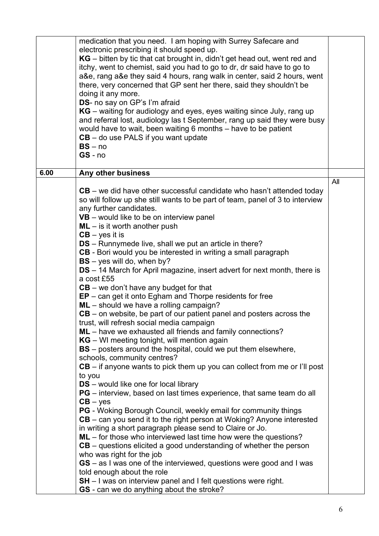|      | medication that you need. I am hoping with Surrey Safecare and<br>electronic prescribing it should speed up.<br>KG – bitten by tic that cat brought in, didn't get head out, went red and<br>itchy, went to chemist, said you had to go to dr, dr said have to go to<br>a&e, rang a&e they said 4 hours, rang walk in center, said 2 hours, went<br>there, very concerned that GP sent her there, said they shouldn't be<br>doing it any more.<br>DS- no say on GP's I'm afraid<br>KG – waiting for audiology and eyes, eyes waiting since July, rang up<br>and referral lost, audiology las t September, rang up said they were busy<br>would have to wait, been waiting 6 months – have to be patient<br>$CB -$ do use PALS if you want update<br>$BS - no$<br>$GS - no$                                                                                                                                                                                                                                                                                                                                                                                                                                                                                                                                                                                                                                                                                                                                                                                                                                                                                                                                                                                                                                                                                                                                                        |     |
|------|-----------------------------------------------------------------------------------------------------------------------------------------------------------------------------------------------------------------------------------------------------------------------------------------------------------------------------------------------------------------------------------------------------------------------------------------------------------------------------------------------------------------------------------------------------------------------------------------------------------------------------------------------------------------------------------------------------------------------------------------------------------------------------------------------------------------------------------------------------------------------------------------------------------------------------------------------------------------------------------------------------------------------------------------------------------------------------------------------------------------------------------------------------------------------------------------------------------------------------------------------------------------------------------------------------------------------------------------------------------------------------------------------------------------------------------------------------------------------------------------------------------------------------------------------------------------------------------------------------------------------------------------------------------------------------------------------------------------------------------------------------------------------------------------------------------------------------------------------------------------------------------------------------------------------------------|-----|
| 6.00 | Any other business                                                                                                                                                                                                                                                                                                                                                                                                                                                                                                                                                                                                                                                                                                                                                                                                                                                                                                                                                                                                                                                                                                                                                                                                                                                                                                                                                                                                                                                                                                                                                                                                                                                                                                                                                                                                                                                                                                                |     |
|      | $CB -$ we did have other successful candidate who hasn't attended today<br>so will follow up she still wants to be part of team, panel of 3 to interview<br>any further candidates.<br>$VB$ – would like to be on interview panel<br>$ML - is it worth another push$<br>$CB - yes$ it is<br>DS - Runnymede live, shall we put an article in there?<br><b>CB</b> - Bori would you be interested in writing a small paragraph<br>$BS - yes$ will do, when by?<br><b>DS</b> – 14 March for April magazine, insert advert for next month, there is<br>a cost £55<br>$CB -$ we don't have any budget for that<br>$EP - can get it onto Egham and Thorpe residents for free$<br>ML - should we have a rolling campaign?<br>$CB -$ on website, be part of our patient panel and posters across the<br>trust, will refresh social media campaign<br>ML – have we exhausted all friends and family connections?<br>$KG - WI$ meeting tonight, will mention again<br><b>BS</b> – posters around the hospital, could we put them elsewhere,<br>schools, community centres?<br>$CB - if$ anyone wants to pick them up you can collect from me or I'll post<br>to you<br><b>DS</b> – would like one for local library<br><b>PG</b> – interview, based on last times experience, that same team do all<br>$CB - yes$<br><b>PG</b> - Woking Borough Council, weekly email for community things<br>$CB$ – can you send it to the right person at Woking? Anyone interested<br>in writing a short paragraph please send to Claire or Jo.<br>$ML$ – for those who interviewed last time how were the questions?<br>$CB -$ questions elicited a good understanding of whether the person<br>who was right for the job<br>$GS - as I$ was one of the interviewed, questions were good and I was<br>told enough about the role<br>$SH - I$ was on interview panel and I felt questions were right.<br><b>GS</b> - can we do anything about the stroke? | All |